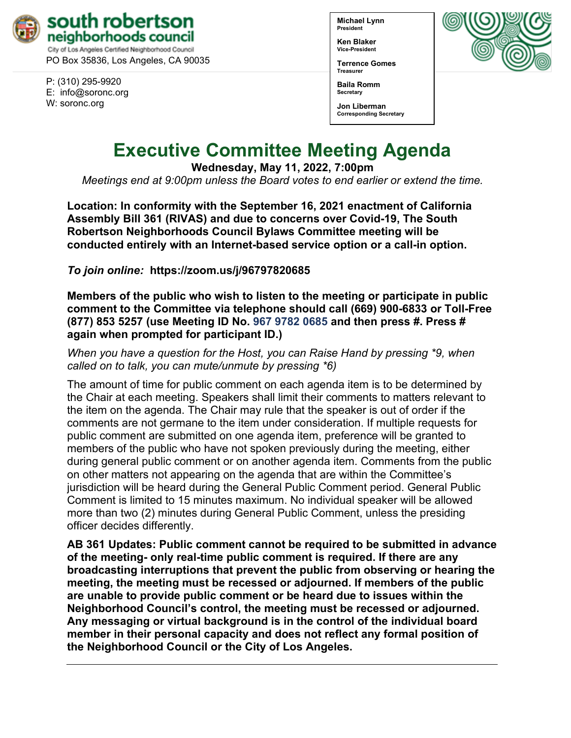

PO Box 35836, Los Angeles, CA 90035

P: (310) 295-9920 E: [info@soronc.org](mailto:info@soronc.org) W: soronc.org

**Michael Lynn President**

**Ken Blaker Vice-President**

**Terrence Gomes Treasurer**

**Baila Romm Secretary**





# **Executive Committee Meeting Agenda**

**Wednesday, May 11, 2022, 7:00pm**

*Meetings end at 9:00pm unless the Board votes to end earlier or extend the time.*

**Location: In conformity with the September 16, 2021 enactment of California Assembly Bill 361 (RIVAS) and due to concerns over Covid-19, The South Robertson Neighborhoods Council Bylaws Committee meeting will be conducted entirely with an Internet-based service option or a call-in option.**

*To join online:* **<https://zoom.us/j/96797820685>**

**Members of the public who wish to listen to the meeting or participate in public comment to the Committee via telephone should call (669) 900-6833 or Toll-Free (877) 853 5257 (use Meeting ID No. 967 9782 0685 and then press #. Press # again when prompted for participant ID.)** 

*When you have a question for the Host, you can Raise Hand by pressing \*9, when called on to talk, you can mute/unmute by pressing \*6)* 

The amount of time for public comment on each agenda item is to be determined by the Chair at each meeting. Speakers shall limit their comments to matters relevant to the item on the agenda. The Chair may rule that the speaker is out of order if the comments are not germane to the item under consideration. If multiple requests for public comment are submitted on one agenda item, preference will be granted to members of the public who have not spoken previously during the meeting, either during general public comment or on another agenda item. Comments from the public on other matters not appearing on the agenda that are within the Committee's jurisdiction will be heard during the General Public Comment period. General Public Comment is limited to 15 minutes maximum. No individual speaker will be allowed more than two (2) minutes during General Public Comment, unless the presiding officer decides differently.

**AB 361 Updates: Public comment cannot be required to be submitted in advance of the meeting- only real-time public comment is required. If there are any broadcasting interruptions that prevent the public from observing or hearing the meeting, the meeting must be recessed or adjourned. If members of the public are unable to provide public comment or be heard due to issues within the Neighborhood Council's control, the meeting must be recessed or adjourned. Any messaging or virtual background is in the control of the individual board member in their personal capacity and does not reflect any formal position of the Neighborhood Council or the City of Los Angeles.**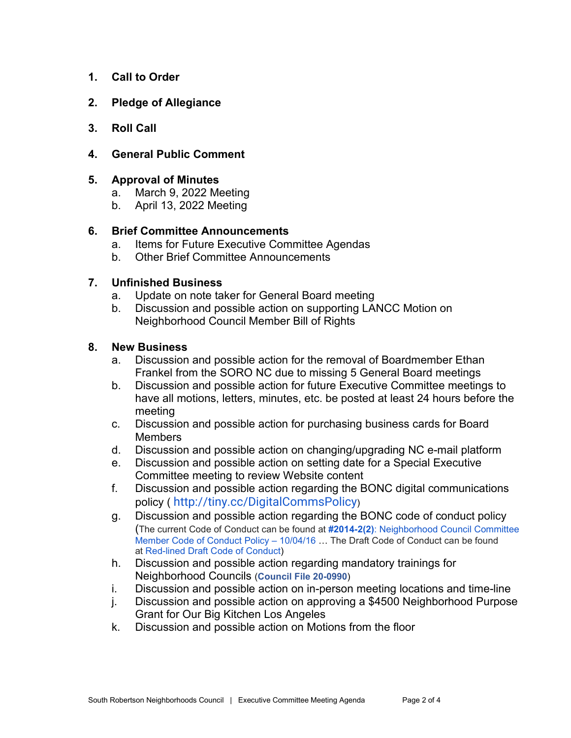- **1. Call to Order**
- **2. Pledge of Allegiance**
- **3. Roll Call**
- **4. General Public Comment**

# **5. Approval of Minutes**

- a. March 9, 2022 Meeting
- b. April 13, 2022 Meeting

# **6. Brief Committee Announcements**

- a. Items for Future Executive Committee Agendas
- b. Other Brief Committee Announcements

# **7. Unfinished Business**

- a. Update on note taker for General Board meeting
- b. Discussion and possible action on supporting LANCC Motion on Neighborhood Council Member Bill of Rights

#### **8. New Business**

- a. Discussion and possible action for the removal of Boardmember Ethan Frankel from the SORO NC due to missing 5 General Board meetings
- b. Discussion and possible action for future Executive Committee meetings to have all motions, letters, minutes, etc. be posted at least 24 hours before the meeting
- c. Discussion and possible action for purchasing business cards for Board **Members**
- d. Discussion and possible action on changing/upgrading NC e-mail platform
- e. Discussion and possible action on setting date for a Special Executive Committee meeting to review Website content
- f. Discussion and possible action regarding the BONC digital communications policy ( [http://tiny.cc/DigitalCommsPolicy](https://r20.rs6.net/tn.jsp?f=001tHGwSldBWI2RgI80hrf_xYDCWEQxY0Bpzzq0ypmo_tm0UMuB5_ckkSWmEO_5Sdggmf95sreJfpPzgpkefCPNm73z6fff6tQHBCNEbZq1UWuRw-Vc0OMGruKpp9gQnBTLXy_K29VTj8fl65zct9Ci8KzH_GXubMYA&c=zRwz8_uZac7xysnI1I5tLYNcx_sXvxTrhIYeG2J8bjH0u0CpOpc3eg==&ch=Z9inaDIdJEb9uVLiYU0PNN8AD9V4ye06bmGNMENtyIV14U6_OohLuw==))
- g. Discussion and possible action regarding the BONC code of conduct policy (The current Code of Conduct can be found at **[#2014-2\(2\)](https://empowerla.org/wp-content/uploads/2019/03/NEIGHBORHOOD-COUNCIL-BOARD-MEMBER-CODE-OF-CONDUCT-POLICY.pdf)**[: Neighborhood Council Committee](https://empowerla.org/wp-content/uploads/2019/03/NEIGHBORHOOD-COUNCIL-BOARD-MEMBER-CODE-OF-CONDUCT-POLICY.pdf)  [Member Code of Conduct Policy –](https://empowerla.org/wp-content/uploads/2019/03/NEIGHBORHOOD-COUNCIL-BOARD-MEMBER-CODE-OF-CONDUCT-POLICY.pdf) 10/04/16 … The Draft Code of Conduct can be found at [Red-lined Draft Code of Conduct\)](https://empowerla.org/wp-content/uploads/2022/01/Red-lined-Draft-Code-of-Conduct-2-2-22-1.pdf)
- h. Discussion and possible action regarding mandatory trainings for Neighborhood Councils (**[Council File 20-0990](https://cityclerk.lacity.org/lacityclerkconnect/index.cfm?fa=ccfi.viewrecord&cfnumber=20-0990)**)
- i. Discussion and possible action on in-person meeting locations and time-line
- j. Discussion and possible action on approving a \$4500 Neighborhood Purpose Grant for Our Big Kitchen Los Angeles
- k. Discussion and possible action on Motions from the floor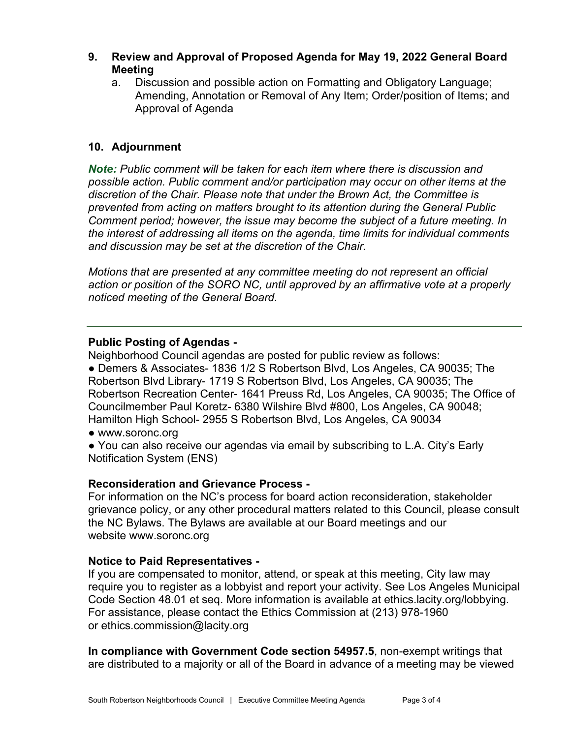- **9. Review and Approval of Proposed Agenda for May 19, 2022 General Board Meeting**
	- a. Discussion and possible action on Formatting and Obligatory Language; Amending, Annotation or Removal of Any Item; Order/position of Items; and Approval of Agenda

# **10. Adjournment**

*Note: Public comment will be taken for each item where there is discussion and possible action. Public comment and/or participation may occur on other items at the discretion of the Chair. Please note that under the Brown Act, the Committee is prevented from acting on matters brought to its attention during the General Public Comment period; however, the issue may become the subject of a future meeting. In the interest of addressing all items on the agenda, time limits for individual comments and discussion may be set at the discretion of the Chair.*

*Motions that are presented at any committee meeting do not represent an official action or position of the SORO NC, until approved by an affirmative vote at a properly noticed meeting of the General Board.*

# **Public Posting of Agendas -**

Neighborhood Council agendas are posted for public review as follows: ● Demers & Associates- 1836 1/2 S Robertson Blvd, Los Angeles, CA 90035; The Robertson Blvd Library- 1719 S Robertson Blvd, Los Angeles, CA 90035; The Robertson Recreation Center- 1641 Preuss Rd, Los Angeles, CA 90035; The Office of Councilmember Paul Koretz- 6380 Wilshire Blvd #800, Los Angeles, CA 90048; Hamilton High School- 2955 S Robertson Blvd, Los Angeles, CA 90034

- [www.soronc.org](http://www.soronc.org/)
- You can also receive our agendas via email by subscribing to L.A. City's [Early](https://www.lacity.org/government/subscribe-agendasnotifications/neighborhood-councils)  [Notification System \(ENS\)](https://www.lacity.org/government/subscribe-agendasnotifications/neighborhood-councils)

# **Reconsideration and Grievance Process -**

For information on the NC's process for board action reconsideration, stakeholder grievance policy, or any other procedural matters related to this Council, please consult the NC Bylaws. The Bylaws are available at our Board meetings and our website [www.soronc.org](http://www.soronc.org/)

# **Notice to Paid Representatives -**

If you are compensated to monitor, attend, or speak at this meeting, City law may require you to register as a lobbyist and report your activity. See Los Angeles Municipal Code Section 48.01 et seq. More information is available at [ethics.lacity.org/lobbying.](http://ethics.lacity.org/lobbying) For assistance, please contact the Ethics Commission at (213) 978-1960 or [ethics.commission@lacity.org](mailto:ethics.commission@lacity.org)

**In compliance with Government Code section 54957.5**, non-exempt writings that are distributed to a majority or all of the Board in advance of a meeting may be viewed